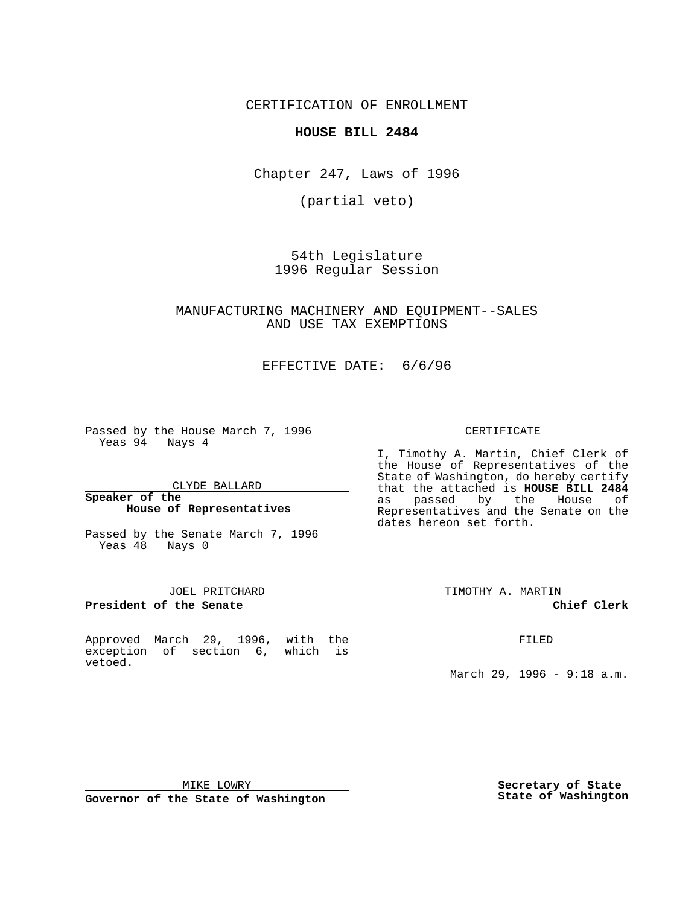# CERTIFICATION OF ENROLLMENT

# **HOUSE BILL 2484**

Chapter 247, Laws of 1996

(partial veto)

54th Legislature 1996 Regular Session

# MANUFACTURING MACHINERY AND EQUIPMENT--SALES AND USE TAX EXEMPTIONS

EFFECTIVE DATE: 6/6/96

Passed by the House March 7, 1996 Yeas 94 Nays 4

CLYDE BALLARD

#### **Speaker of the House of Representatives**

Passed by the Senate March 7, 1996 Yeas 48 Nays 0

### JOEL PRITCHARD

**President of the Senate**

Approved March 29, 1996, with the exception of section 6, which is vetoed.

### CERTIFICATE

I, Timothy A. Martin, Chief Clerk of the House of Representatives of the State of Washington, do hereby certify that the attached is **HOUSE BILL 2484** as passed by the House of Representatives and the Senate on the dates hereon set forth.

TIMOTHY A. MARTIN

#### **Chief Clerk**

FILED

March 29, 1996 - 9:18 a.m.

MIKE LOWRY

**Governor of the State of Washington**

**Secretary of State State of Washington**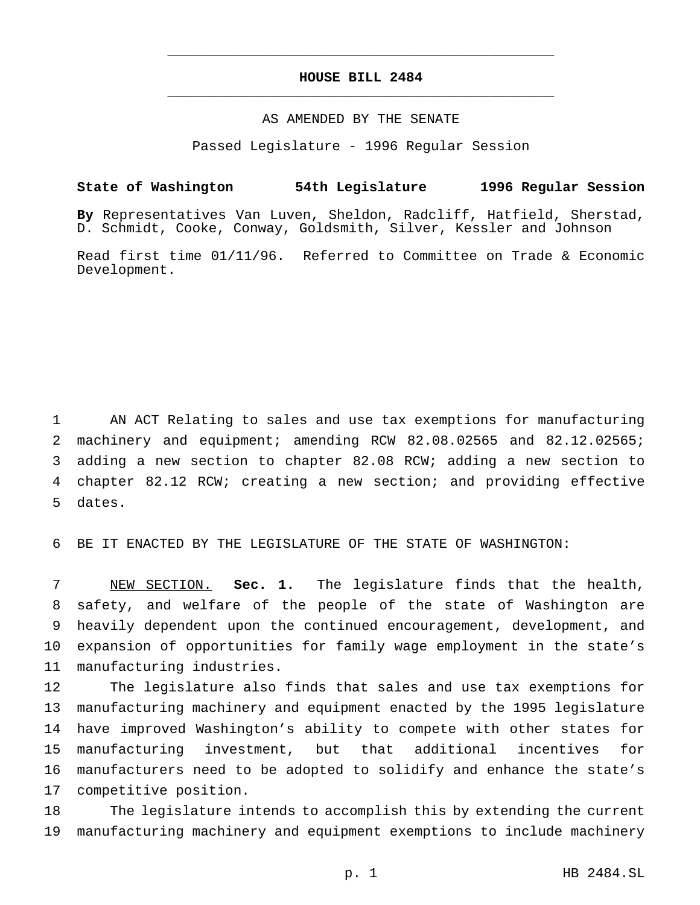# **HOUSE BILL 2484** \_\_\_\_\_\_\_\_\_\_\_\_\_\_\_\_\_\_\_\_\_\_\_\_\_\_\_\_\_\_\_\_\_\_\_\_\_\_\_\_\_\_\_\_\_\_\_

\_\_\_\_\_\_\_\_\_\_\_\_\_\_\_\_\_\_\_\_\_\_\_\_\_\_\_\_\_\_\_\_\_\_\_\_\_\_\_\_\_\_\_\_\_\_\_

## AS AMENDED BY THE SENATE

Passed Legislature - 1996 Regular Session

# **State of Washington 54th Legislature 1996 Regular Session**

**By** Representatives Van Luven, Sheldon, Radcliff, Hatfield, Sherstad, D. Schmidt, Cooke, Conway, Goldsmith, Silver, Kessler and Johnson

Read first time 01/11/96. Referred to Committee on Trade & Economic Development.

1 AN ACT Relating to sales and use tax exemptions for manufacturing 2 machinery and equipment; amending RCW 82.08.02565 and 82.12.02565; 3 adding a new section to chapter 82.08 RCW; adding a new section to 4 chapter 82.12 RCW; creating a new section; and providing effective 5 dates.

6 BE IT ENACTED BY THE LEGISLATURE OF THE STATE OF WASHINGTON:

 NEW SECTION. **Sec. 1.** The legislature finds that the health, safety, and welfare of the people of the state of Washington are heavily dependent upon the continued encouragement, development, and expansion of opportunities for family wage employment in the state's manufacturing industries.

 The legislature also finds that sales and use tax exemptions for manufacturing machinery and equipment enacted by the 1995 legislature have improved Washington's ability to compete with other states for manufacturing investment, but that additional incentives for manufacturers need to be adopted to solidify and enhance the state's competitive position.

18 The legislature intends to accomplish this by extending the current 19 manufacturing machinery and equipment exemptions to include machinery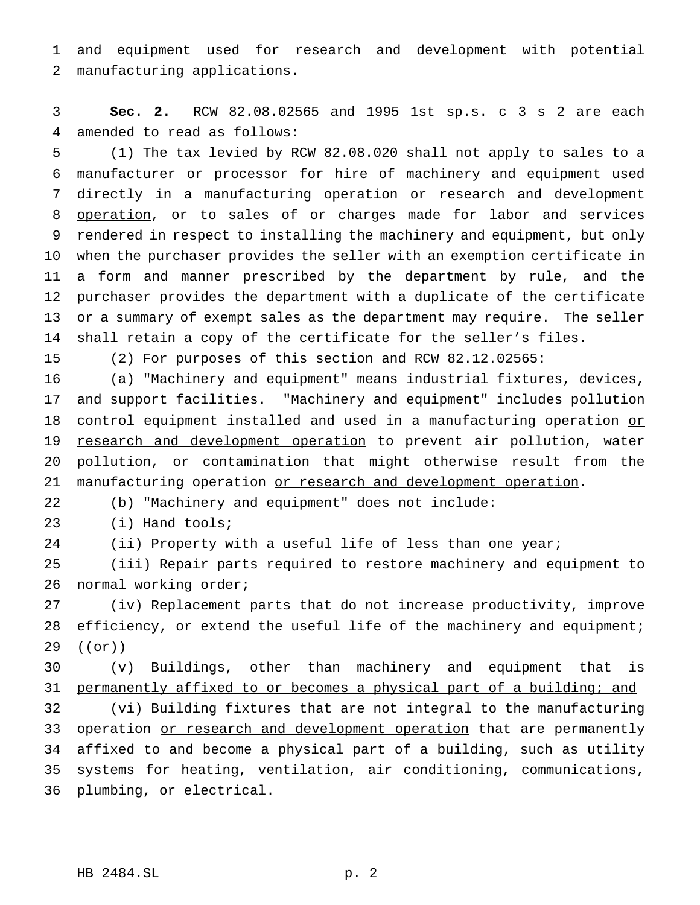and equipment used for research and development with potential manufacturing applications.

 **Sec. 2.** RCW 82.08.02565 and 1995 1st sp.s. c 3 s 2 are each amended to read as follows:

 (1) The tax levied by RCW 82.08.020 shall not apply to sales to a manufacturer or processor for hire of machinery and equipment used 7 directly in a manufacturing operation or research and development operation, or to sales of or charges made for labor and services rendered in respect to installing the machinery and equipment, but only when the purchaser provides the seller with an exemption certificate in a form and manner prescribed by the department by rule, and the purchaser provides the department with a duplicate of the certificate or a summary of exempt sales as the department may require. The seller shall retain a copy of the certificate for the seller's files.

(2) For purposes of this section and RCW 82.12.02565:

 (a) "Machinery and equipment" means industrial fixtures, devices, and support facilities. "Machinery and equipment" includes pollution 18 control equipment installed and used in a manufacturing operation or 19 research and development operation to prevent air pollution, water pollution, or contamination that might otherwise result from the 21 manufacturing operation or research and development operation.

(b) "Machinery and equipment" does not include:

(i) Hand tools;

24 (ii) Property with a useful life of less than one year;

 (iii) Repair parts required to restore machinery and equipment to normal working order;

 (iv) Replacement parts that do not increase productivity, improve 28 efficiency, or extend the useful life of the machinery and equipment; 29  $((e^{\pi})$ 

 (v) Buildings, other than machinery and equipment that is 31 permanently affixed to or becomes a physical part of a building; and 32 (vi) Building fixtures that are not integral to the manufacturing 33 operation or research and development operation that are permanently affixed to and become a physical part of a building, such as utility systems for heating, ventilation, air conditioning, communications, plumbing, or electrical.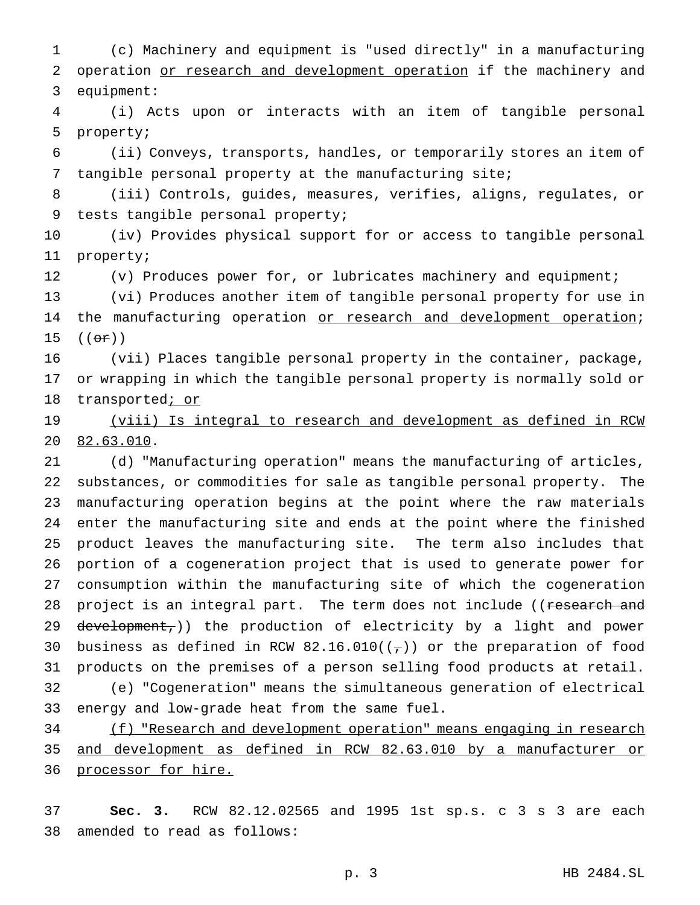(c) Machinery and equipment is "used directly" in a manufacturing 2 operation or research and development operation if the machinery and equipment:

 (i) Acts upon or interacts with an item of tangible personal property;

 (ii) Conveys, transports, handles, or temporarily stores an item of tangible personal property at the manufacturing site;

 (iii) Controls, guides, measures, verifies, aligns, regulates, or tests tangible personal property;

 (iv) Provides physical support for or access to tangible personal property;

(v) Produces power for, or lubricates machinery and equipment;

 (vi) Produces another item of tangible personal property for use in 14 the manufacturing operation or research and development operation;  $((e^{\pi})^{\circ})$ 

 (vii) Places tangible personal property in the container, package, or wrapping in which the tangible personal property is normally sold or 18 transported<sub>*i* or</sub>

19 (viii) Is integral to research and development as defined in RCW 82.63.010.

 (d) "Manufacturing operation" means the manufacturing of articles, substances, or commodities for sale as tangible personal property. The manufacturing operation begins at the point where the raw materials enter the manufacturing site and ends at the point where the finished product leaves the manufacturing site. The term also includes that portion of a cogeneration project that is used to generate power for consumption within the manufacturing site of which the cogeneration 28 project is an integral part. The term does not include ((research and 29 development,)) the production of electricity by a light and power 30 business as defined in RCW 82.16.010( $(\tau)$ ) or the preparation of food products on the premises of a person selling food products at retail. (e) "Cogeneration" means the simultaneous generation of electrical energy and low-grade heat from the same fuel.

 (f) "Research and development operation" means engaging in research and development as defined in RCW 82.63.010 by a manufacturer or 36 processor for hire.

 **Sec. 3.** RCW 82.12.02565 and 1995 1st sp.s. c 3 s 3 are each amended to read as follows: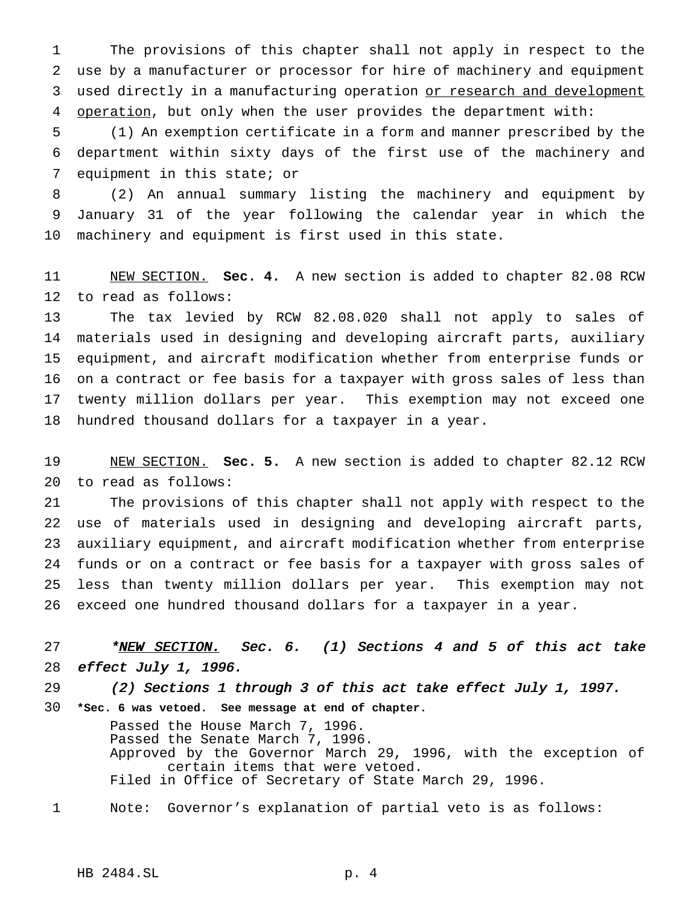The provisions of this chapter shall not apply in respect to the use by a manufacturer or processor for hire of machinery and equipment 3 used directly in a manufacturing operation or research and development 4 operation, but only when the user provides the department with:

 (1) An exemption certificate in a form and manner prescribed by the department within sixty days of the first use of the machinery and equipment in this state; or

 (2) An annual summary listing the machinery and equipment by January 31 of the year following the calendar year in which the machinery and equipment is first used in this state.

 NEW SECTION. **Sec. 4.** A new section is added to chapter 82.08 RCW to read as follows:

 The tax levied by RCW 82.08.020 shall not apply to sales of materials used in designing and developing aircraft parts, auxiliary equipment, and aircraft modification whether from enterprise funds or on a contract or fee basis for a taxpayer with gross sales of less than twenty million dollars per year. This exemption may not exceed one hundred thousand dollars for a taxpayer in a year.

 NEW SECTION. **Sec. 5.** A new section is added to chapter 82.12 RCW to read as follows:

 The provisions of this chapter shall not apply with respect to the use of materials used in designing and developing aircraft parts, auxiliary equipment, and aircraft modification whether from enterprise funds or on a contract or fee basis for a taxpayer with gross sales of less than twenty million dollars per year. This exemption may not exceed one hundred thousand dollars for a taxpayer in a year.

27 \*NEW SECTION. Sec. 6. (1) Sections 4 and 5 of this act take effect July 1, 1996.

 (2) Sections <sup>1</sup> through <sup>3</sup> of this act take effect July 1, 1997. **\*Sec. 6 was vetoed. See message at end of chapter.**

> Passed the House March 7, 1996. Passed the Senate March 7, 1996. Approved by the Governor March 29, 1996, with the exception of certain items that were vetoed. Filed in Office of Secretary of State March 29, 1996.

Note: Governor's explanation of partial veto is as follows: